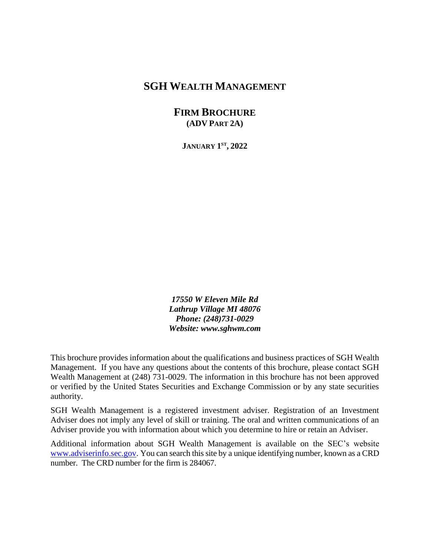## **SGH WEALTH MANAGEMENT**

**FIRM BROCHURE (ADV PART 2A)**

**JANUARY 1 ST , 2022**

*17550 W Eleven Mile Rd Lathrup Village MI 48076 Phone: (248)731-0029 Website: www.sghwm.com*

This brochure provides information about the qualifications and business practices of SGH Wealth Management. If you have any questions about the contents of this brochure, please contact SGH Wealth Management at (248) 731-0029. The information in this brochure has not been approved or verified by the United States Securities and Exchange Commission or by any state securities authority.

SGH Wealth Management is a registered investment adviser. Registration of an Investment Adviser does not imply any level of skill or training. The oral and written communications of an Adviser provide you with information about which you determine to hire or retain an Adviser.

Additional information about SGH Wealth Management is available on the SEC's website [www.adviserinfo.sec.gov.](http://www.adviserinfo.sec.gov/) You can search this site by a unique identifying number, known as a CRD number. The CRD number for the firm is 284067.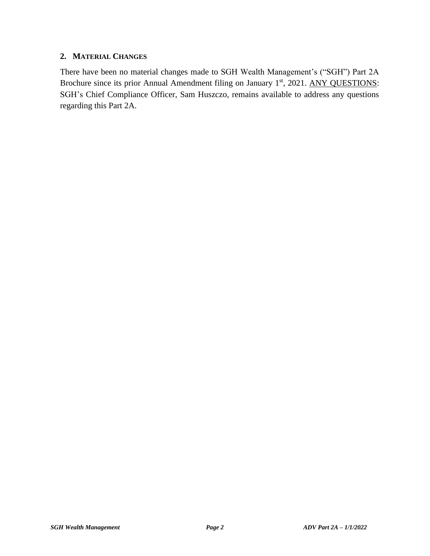#### **2. MATERIAL CHANGES**

There have been no material changes made to SGH Wealth Management's ("SGH") Part 2A Brochure since its prior Annual Amendment filing on January 1<sup>st</sup>, 2021. ANY QUESTIONS: SGH's Chief Compliance Officer, Sam Huszczo, remains available to address any questions regarding this Part 2A.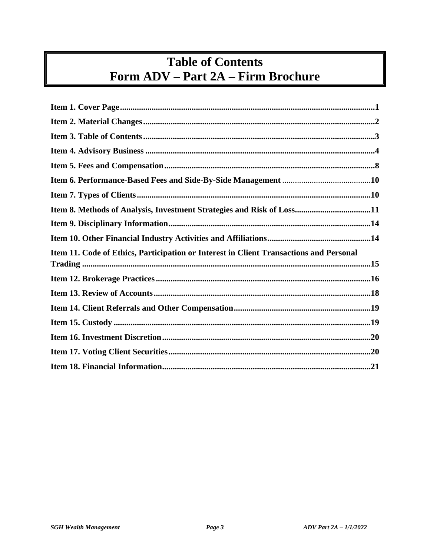# **Table of Contents** Form ADV - Part 2A - Firm Brochure

| Item 8. Methods of Analysis, Investment Strategies and Risk of Loss11                  |
|----------------------------------------------------------------------------------------|
|                                                                                        |
|                                                                                        |
| Item 11. Code of Ethics, Participation or Interest in Client Transactions and Personal |
|                                                                                        |
|                                                                                        |
|                                                                                        |
|                                                                                        |
|                                                                                        |
|                                                                                        |
|                                                                                        |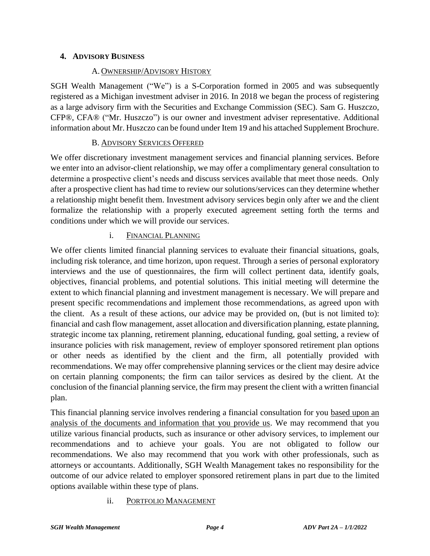## **4. ADVISORY BUSINESS**

#### A. OWNERSHIP/ADVISORY HISTORY

SGH Wealth Management ("We") is a S-Corporation formed in 2005 and was subsequently registered as a Michigan investment adviser in 2016. In 2018 we began the process of registering as a large advisory firm with the Securities and Exchange Commission (SEC). Sam G. Huszczo, CFP®, CFA® ("Mr. Huszczo") is our owner and investment adviser representative. Additional information about Mr. Huszczo can be found under Item 19 and his attached Supplement Brochure.

#### B. ADVISORY SERVICES OFFERED

We offer discretionary investment management services and financial planning services. Before we enter into an advisor-client relationship, we may offer a complimentary general consultation to determine a prospective client's needs and discuss services available that meet those needs. Only after a prospective client has had time to review our solutions/services can they determine whether a relationship might benefit them. Investment advisory services begin only after we and the client formalize the relationship with a properly executed agreement setting forth the terms and conditions under which we will provide our services.

#### i. FINANCIAL PLANNING

We offer clients limited financial planning services to evaluate their financial situations, goals, including risk tolerance, and time horizon, upon request. Through a series of personal exploratory interviews and the use of questionnaires, the firm will collect pertinent data, identify goals, objectives, financial problems, and potential solutions. This initial meeting will determine the extent to which financial planning and investment management is necessary. We will prepare and present specific recommendations and implement those recommendations, as agreed upon with the client. As a result of these actions, our advice may be provided on, (but is not limited to): financial and cash flow management, asset allocation and diversification planning, estate planning, strategic income tax planning, retirement planning, educational funding, goal setting, a review of insurance policies with risk management, review of employer sponsored retirement plan options or other needs as identified by the client and the firm, all potentially provided with recommendations. We may offer comprehensive planning services or the client may desire advice on certain planning components; the firm can tailor services as desired by the client. At the conclusion of the financial planning service, the firm may present the client with a written financial plan.

This financial planning service involves rendering a financial consultation for you based upon an analysis of the documents and information that you provide us. We may recommend that you utilize various financial products, such as insurance or other advisory services, to implement our recommendations and to achieve your goals. You are not obligated to follow our recommendations. We also may recommend that you work with other professionals, such as attorneys or accountants. Additionally, SGH Wealth Management takes no responsibility for the outcome of our advice related to employer sponsored retirement plans in part due to the limited options available within these type of plans.

## ii. PORTFOLIO MANAGEMENT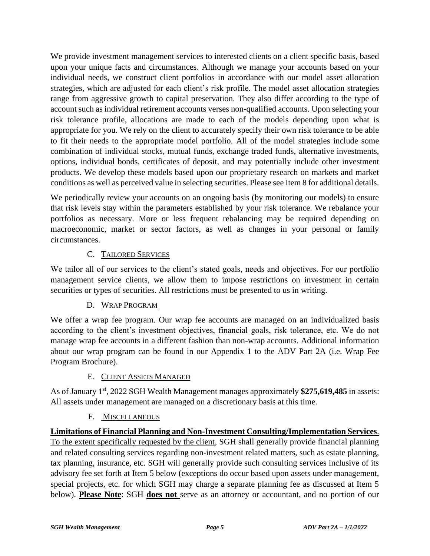We provide investment management services to interested clients on a client specific basis, based upon your unique facts and circumstances. Although we manage your accounts based on your individual needs, we construct client portfolios in accordance with our model asset allocation strategies, which are adjusted for each client's risk profile. The model asset allocation strategies range from aggressive growth to capital preservation. They also differ according to the type of account such as individual retirement accounts verses non-qualified accounts. Upon selecting your risk tolerance profile, allocations are made to each of the models depending upon what is appropriate for you. We rely on the client to accurately specify their own risk tolerance to be able to fit their needs to the appropriate model portfolio. All of the model strategies include some combination of individual stocks, mutual funds, exchange traded funds, alternative investments, options, individual bonds, certificates of deposit, and may potentially include other investment products. We develop these models based upon our proprietary research on markets and market conditions as well as perceived value in selecting securities. Please see Item 8 for additional details.

We periodically review your accounts on an ongoing basis (by monitoring our models) to ensure that risk levels stay within the parameters established by your risk tolerance. We rebalance your portfolios as necessary. More or less frequent rebalancing may be required depending on macroeconomic, market or sector factors, as well as changes in your personal or family circumstances.

## C. TAILORED SERVICES

We tailor all of our services to the client's stated goals, needs and objectives. For our portfolio management service clients, we allow them to impose restrictions on investment in certain securities or types of securities. All restrictions must be presented to us in writing.

#### D. WRAP PROGRAM

We offer a wrap fee program. Our wrap fee accounts are managed on an individualized basis according to the client's investment objectives, financial goals, risk tolerance, etc. We do not manage wrap fee accounts in a different fashion than non-wrap accounts. Additional information about our wrap program can be found in our Appendix 1 to the ADV Part 2A (i.e. Wrap Fee Program Brochure).

## E. CLIENT ASSETS MANAGED

As of January 1<sup>st</sup>, 2022 SGH Wealth Management manages approximately \$275,619,485 in assets: All assets under management are managed on a discretionary basis at this time.

#### F. MISCELLANEOUS

**Limitations of Financial Planning and Non-Investment Consulting/Implementation Services**. To the extent specifically requested by the client, SGH shall generally provide financial planning and related consulting services regarding non-investment related matters, such as estate planning, tax planning, insurance, etc. SGH will generally provide such consulting services inclusive of its advisory fee set forth at Item 5 below (exceptions do occur based upon assets under management, special projects, etc. for which SGH may charge a separate planning fee as discussed at Item 5 below). **Please Note**: SGH **does not** serve as an attorney or accountant, and no portion of our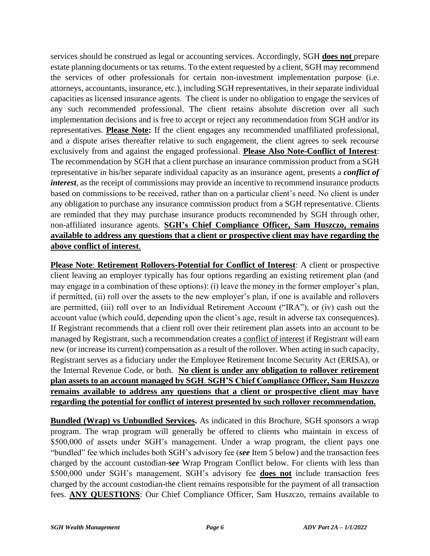services should be construed as legal or accounting services. Accordingly, SGH **does not** prepare estate planning documents or tax returns. To the extent requested by a client, SGH may recommend the services of other professionals for certain non-investment implementation purpose (i.e. attorneys, accountants, insurance, etc.), including SGH representatives, in their separate individual capacities as licensed insurance agents. The client is under no obligation to engage the services of any such recommended professional. The client retains absolute discretion over all such implementation decisions and is free to accept or reject any recommendation from SGH and/or its representatives. **Please Note:** If the client engages any recommended unaffiliated professional, and a dispute arises thereafter relative to such engagement, the client agrees to seek recourse exclusively from and against the engaged professional. **Please Also Note-Conflict of Interest**: The recommendation by SGH that a client purchase an insurance commission product from a SGH representative in his/her separate individual capacity as an insurance agent, presents a *conflict of interest*, as the receipt of commissions may provide an incentive to recommend insurance products based on commissions to be received, rather than on a particular client's need. No client is under any obligation to purchase any insurance commission product from a SGH representative. Clients are reminded that they may purchase insurance products recommended by SGH through other, non-affiliated insurance agents. **SGH's Chief Compliance Officer, Sam Huszczo, remains available to address any questions that a client or prospective client may have regarding the above conflict of interest**.

**Please Note**: **Retirement Rollovers-Potential for Conflict of Interest**: A client or prospective client leaving an employer typically has four options regarding an existing retirement plan (and may engage in a combination of these options): (i) leave the money in the former employer's plan, if permitted, (ii) roll over the assets to the new employer's plan, if one is available and rollovers are permitted, (iii) roll over to an Individual Retirement Account ("IRA"), or (iv) cash out the account value (which could, depending upon the client's age, result in adverse tax consequences). If Registrant recommends that a client roll over their retirement plan assets into an account to be managed by Registrant, such a recommendation creates a conflict of interest if Registrant will earn new (or increase its current) compensation as a result of the rollover. When acting in such capacity, Registrant serves as a fiduciary under the Employee Retirement Income Security Act (ERISA), or the Internal Revenue Code, or both. **No client is under any obligation to rollover retirement plan assets to an account managed by SGH**. **SGH'S Chief Compliance Officer, Sam Huszczo remains available to address any questions that a client or prospective client may have regarding the potential for conflict of interest presented by such rollover recommendation.**

**Bundled (Wrap) vs Unbundled Services.** As indicated in this Brochure, SGH sponsors a wrap program. The wrap program will generally be offered to clients who maintain in excess of \$500,000 of assets under SGH's management. Under a wrap program, the client pays one "bundled" fee which includes both SGH's advisory fee (*see* Item 5 below) and the transaction fees charged by the account custodian-*see* Wrap Program Conflict below. For clients with less than \$500,000 under SGH's management, SGH's advisory fee **does not** include transaction fees charged by the account custodian-the client remains responsible for the payment of all transaction fees. **ANY QUESTIONS**: Our Chief Compliance Officer, Sam Huszczo, remains available to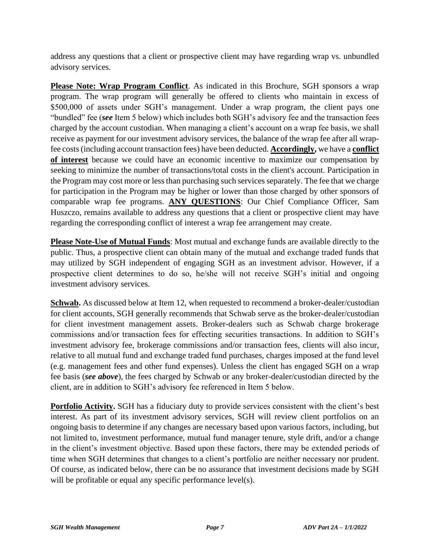address any questions that a client or prospective client may have regarding wrap vs. unbundled advisory services.

**Please Note: Wrap Program Conflict**. As indicated in this Brochure, SGH sponsors a wrap program. The wrap program will generally be offered to clients who maintain in excess of \$500,000 of assets under SGH's management. Under a wrap program, the client pays one "bundled" fee (*see* Item 5 below) which includes both SGH's advisory fee and the transaction fees charged by the account custodian. When managing a client's account on a wrap fee basis, we shall receive as payment for our investment advisory services, the balance of the wrap fee after all wrapfee costs (including account transaction fees) have been deducted. **Accordingly,** we have a **conflict of interest** because we could have an economic incentive to maximize our compensation by seeking to minimize the number of transactions/total costs in the client's account. Participation in the Program may cost more or less than purchasing such services separately. The fee that we charge for participation in the Program may be higher or lower than those charged by other sponsors of comparable wrap fee programs. **ANY QUESTIONS**: Our Chief Compliance Officer, Sam Huszczo, remains available to address any questions that a client or prospective client may have regarding the corresponding conflict of interest a wrap fee arrangement may create.

**Please Note-Use of Mutual Funds**: Most mutual and exchange funds are available directly to the public. Thus, a prospective client can obtain many of the mutual and exchange traded funds that may utilized by SGH independent of engaging SGH as an investment advisor. However, if a prospective client determines to do so, he/she will not receive SGH's initial and ongoing investment advisory services.

**Schwab.** As discussed below at Item 12, when requested to recommend a broker-dealer/custodian for client accounts, SGH generally recommends that Schwab serve as the broker-dealer/custodian for client investment management assets. Broker-dealers such as Schwab charge brokerage commissions and/or transaction fees for effecting securities transactions. In addition to SGH's investment advisory fee, brokerage commissions and/or transaction fees, clients will also incur, relative to all mutual fund and exchange traded fund purchases, charges imposed at the fund level (e.g. management fees and other fund expenses). Unless the client has engaged SGH on a wrap fee basis (*see above*), the fees charged by Schwab or any broker-dealer/custodian directed by the client, are in addition to SGH's advisory fee referenced in Item 5 below.

**Portfolio Activity.** SGH has a fiduciary duty to provide services consistent with the client's best interest. As part of its investment advisory services, SGH will review client portfolios on an ongoing basis to determine if any changes are necessary based upon various factors, including, but not limited to, investment performance, mutual fund manager tenure, style drift, and/or a change in the client's investment objective. Based upon these factors, there may be extended periods of time when SGH determines that changes to a client's portfolio are neither necessary nor prudent. Of course, as indicated below, there can be no assurance that investment decisions made by SGH will be profitable or equal any specific performance level(s).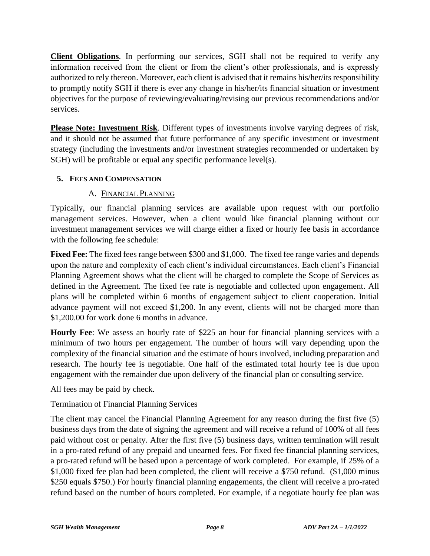**Client Obligations**. In performing our services, SGH shall not be required to verify any information received from the client or from the client's other professionals, and is expressly authorized to rely thereon. Moreover, each client is advised that it remains his/her/its responsibility to promptly notify SGH if there is ever any change in his/her/its financial situation or investment objectives for the purpose of reviewing/evaluating/revising our previous recommendations and/or services.

**Please Note: Investment Risk**. Different types of investments involve varying degrees of risk, and it should not be assumed that future performance of any specific investment or investment strategy (including the investments and/or investment strategies recommended or undertaken by SGH) will be profitable or equal any specific performance level(s).

#### **5. FEES AND COMPENSATION**

#### A. FINANCIAL PLANNING

Typically, our financial planning services are available upon request with our portfolio management services. However, when a client would like financial planning without our investment management services we will charge either a fixed or hourly fee basis in accordance with the following fee schedule:

**Fixed Fee:** The fixed fees range between \$300 and \$1,000. The fixed fee range varies and depends upon the nature and complexity of each client's individual circumstances. Each client's Financial Planning Agreement shows what the client will be charged to complete the Scope of Services as defined in the Agreement. The fixed fee rate is negotiable and collected upon engagement. All plans will be completed within 6 months of engagement subject to client cooperation. Initial advance payment will not exceed \$1,200. In any event, clients will not be charged more than \$1,200.00 for work done 6 months in advance.

**Hourly Fee**: We assess an hourly rate of \$225 an hour for financial planning services with a minimum of two hours per engagement. The number of hours will vary depending upon the complexity of the financial situation and the estimate of hours involved, including preparation and research. The hourly fee is negotiable. One half of the estimated total hourly fee is due upon engagement with the remainder due upon delivery of the financial plan or consulting service.

All fees may be paid by check.

## Termination of Financial Planning Services

The client may cancel the Financial Planning Agreement for any reason during the first five (5) business days from the date of signing the agreement and will receive a refund of 100% of all fees paid without cost or penalty. After the first five (5) business days, written termination will result in a pro-rated refund of any prepaid and unearned fees. For fixed fee financial planning services, a pro-rated refund will be based upon a percentage of work completed. For example, if 25% of a \$1,000 fixed fee plan had been completed, the client will receive a \$750 refund. (\$1,000 minus \$250 equals \$750.) For hourly financial planning engagements, the client will receive a pro-rated refund based on the number of hours completed. For example, if a negotiate hourly fee plan was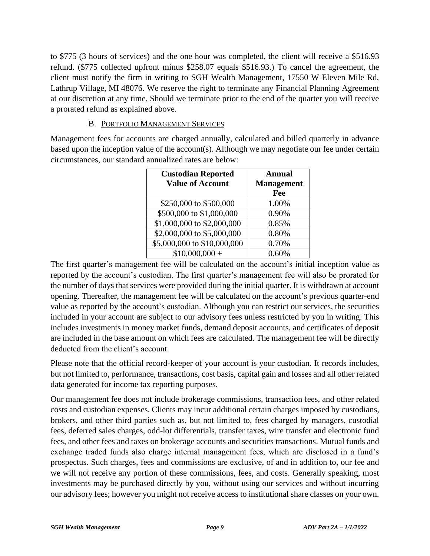to \$775 (3 hours of services) and the one hour was completed, the client will receive a \$516.93 refund. (\$775 collected upfront minus \$258.07 equals \$516.93.) To cancel the agreement, the client must notify the firm in writing to SGH Wealth Management, 17550 W Eleven Mile Rd, Lathrup Village, MI 48076. We reserve the right to terminate any Financial Planning Agreement at our discretion at any time. Should we terminate prior to the end of the quarter you will receive a prorated refund as explained above.

#### B. PORTFOLIO MANAGEMENT SERVICES

Management fees for accounts are charged annually, calculated and billed quarterly in advance based upon the inception value of the account(s). Although we may negotiate our fee under certain circumstances, our standard annualized rates are below:

| <b>Custodian Reported</b>   | <b>Annual</b>     |
|-----------------------------|-------------------|
| <b>Value of Account</b>     | <b>Management</b> |
|                             | Fee               |
| \$250,000 to \$500,000      | 1.00%             |
| \$500,000 to \$1,000,000    | 0.90%             |
| \$1,000,000 to \$2,000,000  | 0.85%             |
| \$2,000,000 to \$5,000,000  | 0.80%             |
| \$5,000,000 to \$10,000,000 | 0.70%             |
| $$10,000,000 +$             | 0.60%             |

The first quarter's management fee will be calculated on the account's initial inception value as reported by the account's custodian. The first quarter's management fee will also be prorated for the number of days that services were provided during the initial quarter. It is withdrawn at account opening. Thereafter, the management fee will be calculated on the account's previous quarter-end value as reported by the account's custodian. Although you can restrict our services, the securities included in your account are subject to our advisory fees unless restricted by you in writing. This includes investments in money market funds, demand deposit accounts, and certificates of deposit are included in the base amount on which fees are calculated. The management fee will be directly deducted from the client's account.

Please note that the official record-keeper of your account is your custodian. It records includes, but not limited to, performance, transactions, cost basis, capital gain and losses and all other related data generated for income tax reporting purposes.

Our management fee does not include brokerage commissions, transaction fees, and other related costs and custodian expenses. Clients may incur additional certain charges imposed by custodians, brokers, and other third parties such as, but not limited to, fees charged by managers, custodial fees, deferred sales charges, odd-lot differentials, transfer taxes, wire transfer and electronic fund fees, and other fees and taxes on brokerage accounts and securities transactions. Mutual funds and exchange traded funds also charge internal management fees, which are disclosed in a fund's prospectus. Such charges, fees and commissions are exclusive, of and in addition to, our fee and we will not receive any portion of these commissions, fees, and costs. Generally speaking, most investments may be purchased directly by you, without using our services and without incurring our advisory fees; however you might not receive access to institutional share classes on your own.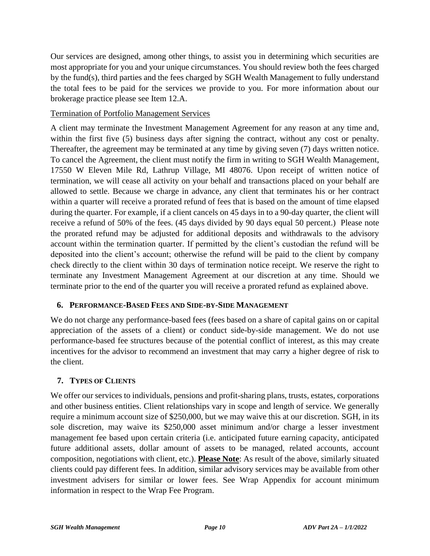Our services are designed, among other things, to assist you in determining which securities are most appropriate for you and your unique circumstances. You should review both the fees charged by the fund(s), third parties and the fees charged by SGH Wealth Management to fully understand the total fees to be paid for the services we provide to you. For more information about our brokerage practice please see Item 12.A.

## Termination of Portfolio Management Services

A client may terminate the Investment Management Agreement for any reason at any time and, within the first five (5) business days after signing the contract, without any cost or penalty. Thereafter, the agreement may be terminated at any time by giving seven (7) days written notice. To cancel the Agreement, the client must notify the firm in writing to SGH Wealth Management, 17550 W Eleven Mile Rd, Lathrup Village, MI 48076. Upon receipt of written notice of termination, we will cease all activity on your behalf and transactions placed on your behalf are allowed to settle. Because we charge in advance, any client that terminates his or her contract within a quarter will receive a prorated refund of fees that is based on the amount of time elapsed during the quarter. For example, if a client cancels on 45 days in to a 90-day quarter, the client will receive a refund of 50% of the fees. (45 days divided by 90 days equal 50 percent.) Please note the prorated refund may be adjusted for additional deposits and withdrawals to the advisory account within the termination quarter. If permitted by the client's custodian the refund will be deposited into the client's account; otherwise the refund will be paid to the client by company check directly to the client within 30 days of termination notice receipt. We reserve the right to terminate any Investment Management Agreement at our discretion at any time. Should we terminate prior to the end of the quarter you will receive a prorated refund as explained above.

#### **6. PERFORMANCE-BASED FEES AND SIDE-BY-SIDE MANAGEMENT**

We do not charge any performance-based fees (fees based on a share of capital gains on or capital appreciation of the assets of a client) or conduct side-by-side management. We do not use performance-based fee structures because of the potential conflict of interest, as this may create incentives for the advisor to recommend an investment that may carry a higher degree of risk to the client.

## **7. TYPES OF CLIENTS**

We offer our services to individuals, pensions and profit-sharing plans, trusts, estates, corporations and other business entities. Client relationships vary in scope and length of service. We generally require a minimum account size of \$250,000, but we may waive this at our discretion. SGH, in its sole discretion, may waive its \$250,000 asset minimum and/or charge a lesser investment management fee based upon certain criteria (i.e. anticipated future earning capacity, anticipated future additional assets, dollar amount of assets to be managed, related accounts, account composition, negotiations with client, etc.). **Please Note**: As result of the above, similarly situated clients could pay different fees. In addition, similar advisory services may be available from other investment advisers for similar or lower fees. See Wrap Appendix for account minimum information in respect to the Wrap Fee Program.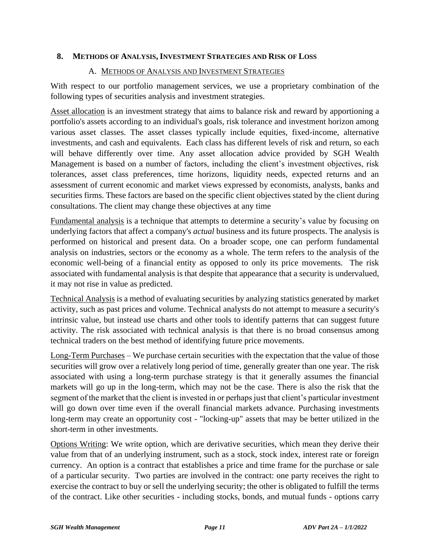#### **8. METHODS OF ANALYSIS, INVESTMENT STRATEGIES AND RISK OF LOSS**

#### A. METHODS OF ANALYSIS AND INVESTMENT STRATEGIES

With respect to our portfolio management services, we use a proprietary combination of the following types of securities analysis and investment strategies.

Asset allocation is an investment strategy that aims to balance risk and reward by apportioning a portfolio's assets according to an individual's goals, risk tolerance and investment horizon among various asset classes. The asset classes typically include equities, fixed-income, alternative investments, and cash and equivalents. Each class has different levels of risk and return, so each will behave differently over time. Any asset allocation advice provided by SGH Wealth Management is based on a number of factors, including the client's investment objectives, risk tolerances, asset class preferences, time horizons, liquidity needs, expected returns and an assessment of current economic and market views expressed by economists, analysts, banks and securities firms. These factors are based on the specific client objectives stated by the client during consultations. The client may change these objectives at any time

Fundamental analysis is a technique that attempts to determine a security's value by focusing on underlying factors that affect a company's *actual* business and its future prospects. The analysis is performed on historical and present data. On a broader scope, one can perform fundamental analysis on industries, sectors or the economy as a whole. The term refers to the analysis of the economic well-being of a financial entity as opposed to only its price movements. The risk associated with fundamental analysis is that despite that appearance that a security is undervalued, it may not rise in value as predicted.

Technical Analysis is a method of evaluating securities by analyzing statistics generated by market activity, such as past prices and volume. Technical analysts do not attempt to measure a security's intrinsic value, but instead use charts and other tools to identify patterns that can suggest future activity. The risk associated with technical analysis is that there is no broad consensus among technical traders on the best method of identifying future price movements.

Long-Term Purchases – We purchase certain securities with the expectation that the value of those securities will grow over a relatively long period of time, generally greater than one year. The risk associated with using a long-term purchase strategy is that it generally assumes the financial markets will go up in the long-term, which may not be the case. There is also the risk that the segment of the market that the client is invested in or perhaps just that client's particular investment will go down over time even if the overall financial markets advance. Purchasing investments long-term may create an opportunity cost - "locking-up" assets that may be better utilized in the short-term in other investments.

Options Writing: We write option, which are derivative securities, which mean they derive their value from that of an underlying instrument, such as a stock, stock index, interest rate or foreign currency. An option is a contract that establishes a price and time frame for the purchase or sale of a particular security. Two parties are involved in the contract: one party receives the right to exercise the contract to buy or sell the underlying security; the other is obligated to fulfill the terms of the contract. Like other securities - including stocks, bonds, and mutual funds - options carry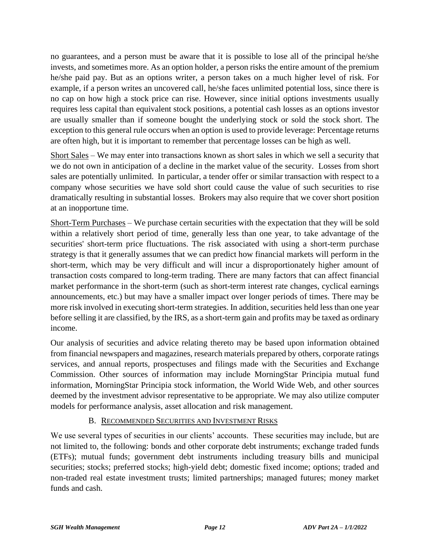no guarantees, and a person must be aware that it is possible to lose all of the principal he/she invests, and sometimes more. As an option holder, a person risks the entire amount of the premium he/she paid pay. But as an options writer, a person takes on a much higher level of risk. For example, if a person writes an uncovered call, he/she faces unlimited potential loss, since there is no cap on how high a stock price can rise. However, since initial options investments usually requires less capital than equivalent stock positions, a potential cash losses as an options investor are usually smaller than if someone bought the underlying stock or sold the stock short. The exception to this general rule occurs when an option is used to provide leverage: Percentage returns are often high, but it is important to remember that percentage losses can be high as well.

Short Sales – We may enter into transactions known as short sales in which we sell a security that we do not own in anticipation of a decline in the market value of the security. Losses from short sales are potentially unlimited. In particular, a tender offer or similar transaction with respect to a company whose securities we have sold short could cause the value of such securities to rise dramatically resulting in substantial losses. Brokers may also require that we cover short position at an inopportune time.

Short-Term Purchases – We purchase certain securities with the expectation that they will be sold within a relatively short period of time, generally less than one year, to take advantage of the securities' short-term price fluctuations. The risk associated with using a short-term purchase strategy is that it generally assumes that we can predict how financial markets will perform in the short-term, which may be very difficult and will incur a disproportionately higher amount of transaction costs compared to long-term trading. There are many factors that can affect financial market performance in the short-term (such as short-term interest rate changes, cyclical earnings announcements, etc.) but may have a smaller impact over longer periods of times. There may be more risk involved in executing short-term strategies. In addition, securities held less than one year before selling it are classified, by the IRS, as a short-term gain and profits may be taxed as ordinary income.

Our analysis of securities and advice relating thereto may be based upon information obtained from financial newspapers and magazines, research materials prepared by others, corporate ratings services, and annual reports, prospectuses and filings made with the Securities and Exchange Commission. Other sources of information may include MorningStar Principia mutual fund information, MorningStar Principia stock information, the World Wide Web, and other sources deemed by the investment advisor representative to be appropriate. We may also utilize computer models for performance analysis, asset allocation and risk management.

#### B. RECOMMENDED SECURITIES AND INVESTMENT RISKS

We use several types of securities in our clients' accounts. These securities may include, but are not limited to, the following: bonds and other corporate debt instruments; exchange traded funds (ETFs); mutual funds; government debt instruments including treasury bills and municipal securities; stocks; preferred stocks; high-yield debt; domestic fixed income; options; traded and non-traded real estate investment trusts; limited partnerships; managed futures; money market funds and cash.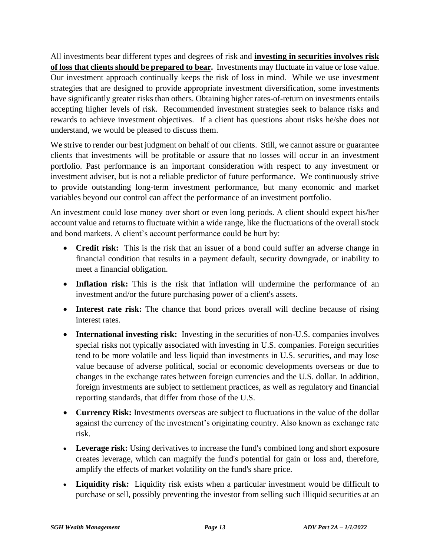All investments bear different types and degrees of risk and **investing in securities involves risk of loss that clients should be prepared to bear.** Investments may fluctuate in value or lose value. Our investment approach continually keeps the risk of loss in mind. While we use investment strategies that are designed to provide appropriate investment diversification, some investments have significantly greater risks than others. Obtaining higher rates-of-return on investments entails accepting higher levels of risk. Recommended investment strategies seek to balance risks and rewards to achieve investment objectives. If a client has questions about risks he/she does not understand, we would be pleased to discuss them.

We strive to render our best judgment on behalf of our clients. Still, we cannot assure or guarantee clients that investments will be profitable or assure that no losses will occur in an investment portfolio. Past performance is an important consideration with respect to any investment or investment adviser, but is not a reliable predictor of future performance. We continuously strive to provide outstanding long-term investment performance, but many economic and market variables beyond our control can affect the performance of an investment portfolio.

An investment could lose money over short or even long periods. A client should expect his/her account value and returns to fluctuate within a wide range, like the fluctuations of the overall stock and bond markets. A client's account performance could be hurt by:

- **Credit risk:** This is the risk that an issuer of a bond could suffer an adverse change in financial condition that results in a payment default, security downgrade, or inability to meet a financial obligation.
- **Inflation risk:** This is the risk that inflation will undermine the performance of an investment and/or the future purchasing power of a client's assets.
- **Interest rate risk:** The chance that bond prices overall will decline because of rising interest rates.
- **International investing risk:** Investing in the securities of non-U.S. companies involves special risks not typically associated with investing in U.S. companies. Foreign securities tend to be more volatile and less liquid than investments in U.S. securities, and may lose value because of adverse political, social or economic developments overseas or due to changes in the exchange rates between foreign currencies and the U.S. dollar. In addition, foreign investments are subject to settlement practices, as well as regulatory and financial reporting standards, that differ from those of the U.S.
- **Currency Risk:** Investments overseas are subject to fluctuations in the value of the dollar against the currency of the investment's originating country. Also known as exchange rate risk.
- Leverage risk: Using derivatives to increase the fund's combined long and short exposure creates leverage, which can magnify the fund's potential for gain or loss and, therefore, amplify the effects of market volatility on the fund's share price.
- **Liquidity risk:** Liquidity risk exists when a particular investment would be difficult to purchase or sell, possibly preventing the investor from selling such illiquid securities at an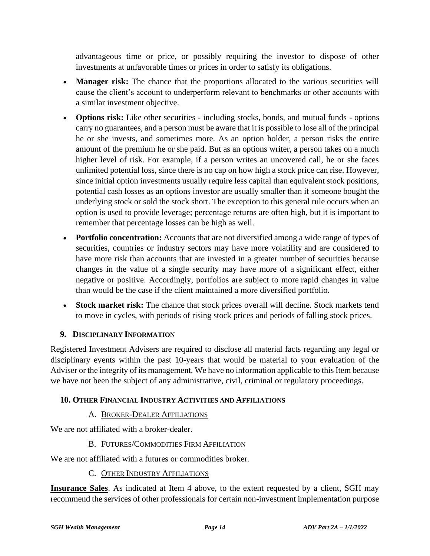advantageous time or price, or possibly requiring the investor to dispose of other investments at unfavorable times or prices in order to satisfy its obligations.

- **Manager risk:** The chance that the proportions allocated to the various securities will cause the client's account to underperform relevant to benchmarks or other accounts with a similar investment objective.
- **Options risk:** Like other securities including stocks, bonds, and mutual funds options carry no guarantees, and a person must be aware that it is possible to lose all of the principal he or she invests, and sometimes more. As an option holder, a person risks the entire amount of the premium he or she paid. But as an options writer, a person takes on a much higher level of risk. For example, if a person writes an uncovered call, he or she faces unlimited potential loss, since there is no cap on how high a stock price can rise. However, since initial option investments usually require less capital than equivalent stock positions, potential cash losses as an options investor are usually smaller than if someone bought the underlying stock or sold the stock short. The exception to this general rule occurs when an option is used to provide leverage; percentage returns are often high, but it is important to remember that percentage losses can be high as well.
- **Portfolio concentration:** Accounts that are not diversified among a wide range of types of securities, countries or industry sectors may have more volatility and are considered to have more risk than accounts that are invested in a greater number of securities because changes in the value of a single security may have more of a significant effect, either negative or positive. Accordingly, portfolios are subject to more rapid changes in value than would be the case if the client maintained a more diversified portfolio.
- **Stock market risk:** The chance that stock prices overall will decline. Stock markets tend to move in cycles, with periods of rising stock prices and periods of falling stock prices.

## **9. DISCIPLINARY INFORMATION**

Registered Investment Advisers are required to disclose all material facts regarding any legal or disciplinary events within the past 10-years that would be material to your evaluation of the Adviser or the integrity of its management. We have no information applicable to this Item because we have not been the subject of any administrative, civil, criminal or regulatory proceedings.

## **10. OTHER FINANCIAL INDUSTRY ACTIVITIES AND AFFILIATIONS**

## A. BROKER-DEALER AFFILIATIONS

We are not affiliated with a broker-dealer.

## B. FUTURES/COMMODITIES FIRM AFFILIATION

We are not affiliated with a futures or commodities broker.

#### C. OTHER INDUSTRY AFFILIATIONS

**Insurance Sales**. As indicated at Item 4 above, to the extent requested by a client, SGH may recommend the services of other professionals for certain non-investment implementation purpose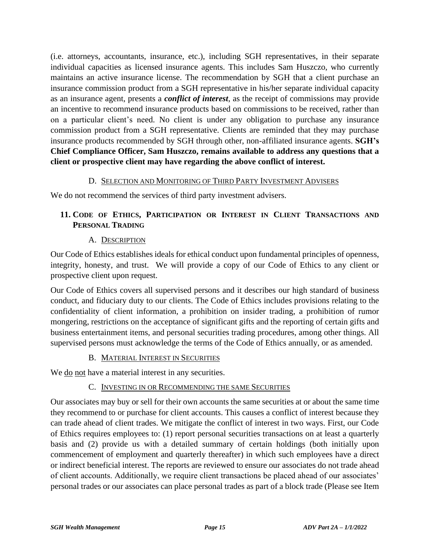(i.e. attorneys, accountants, insurance, etc.), including SGH representatives, in their separate individual capacities as licensed insurance agents. This includes Sam Huszczo, who currently maintains an active insurance license. The recommendation by SGH that a client purchase an insurance commission product from a SGH representative in his/her separate individual capacity as an insurance agent, presents a *conflict of interest*, as the receipt of commissions may provide an incentive to recommend insurance products based on commissions to be received, rather than on a particular client's need. No client is under any obligation to purchase any insurance commission product from a SGH representative. Clients are reminded that they may purchase insurance products recommended by SGH through other, non-affiliated insurance agents. **SGH's Chief Compliance Officer, Sam Huszczo, remains available to address any questions that a client or prospective client may have regarding the above conflict of interest.**

#### D. SELECTION AND MONITORING OF THIRD PARTY INVESTMENT ADVISERS

We do not recommend the services of third party investment advisers.

## **11. CODE OF ETHICS, PARTICIPATION OR INTEREST IN CLIENT TRANSACTIONS AND PERSONAL TRADING**

#### A. DESCRIPTION

Our Code of Ethics establishes ideals for ethical conduct upon fundamental principles of openness, integrity, honesty, and trust. We will provide a copy of our Code of Ethics to any client or prospective client upon request.

Our Code of Ethics covers all supervised persons and it describes our high standard of business conduct, and fiduciary duty to our clients. The Code of Ethics includes provisions relating to the confidentiality of client information, a prohibition on insider trading, a prohibition of rumor mongering, restrictions on the acceptance of significant gifts and the reporting of certain gifts and business entertainment items, and personal securities trading procedures, among other things. All supervised persons must acknowledge the terms of the Code of Ethics annually, or as amended.

#### B. MATERIAL INTEREST IN SECURITIES

We <u>do</u> not have a material interest in any securities.

#### C. INVESTING IN OR RECOMMENDING THE SAME SECURITIES

Our associates may buy or sell for their own accounts the same securities at or about the same time they recommend to or purchase for client accounts. This causes a conflict of interest because they can trade ahead of client trades. We mitigate the conflict of interest in two ways. First, our Code of Ethics requires employees to: (1) report personal securities transactions on at least a quarterly basis and (2) provide us with a detailed summary of certain holdings (both initially upon commencement of employment and quarterly thereafter) in which such employees have a direct or indirect beneficial interest. The reports are reviewed to ensure our associates do not trade ahead of client accounts. Additionally, we require client transactions be placed ahead of our associates' personal trades or our associates can place personal trades as part of a block trade (Please see Item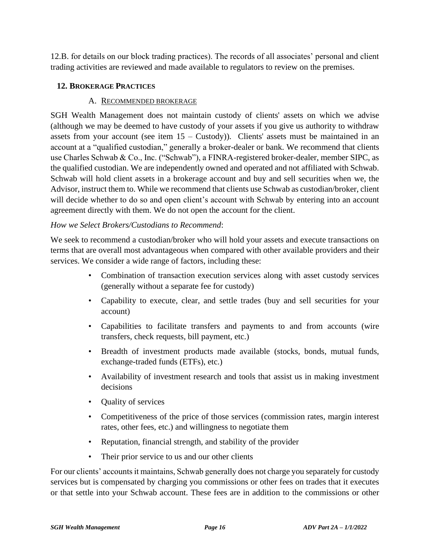12.B. for details on our block trading practices). The records of all associates' personal and client trading activities are reviewed and made available to regulators to review on the premises.

#### **12. BROKERAGE PRACTICES**

#### A. RECOMMENDED BROKERAGE

SGH Wealth Management does not maintain custody of clients' assets on which we advise (although we may be deemed to have custody of your assets if you give us authority to withdraw assets from your account (see item  $15 -$ Custody)). Clients' assets must be maintained in an account at a "qualified custodian," generally a broker-dealer or bank. We recommend that clients use Charles Schwab & Co., Inc. ("Schwab"), a FINRA-registered broker-dealer, member SIPC, as the qualified custodian. We are independently owned and operated and not affiliated with Schwab. Schwab will hold client assets in a brokerage account and buy and sell securities when we, the Advisor, instruct them to. While we recommend that clients use Schwab as custodian/broker, client will decide whether to do so and open client's account with Schwab by entering into an account agreement directly with them. We do not open the account for the client.

#### *How we Select Brokers/Custodians to Recommend*:

We seek to recommend a custodian/broker who will hold your assets and execute transactions on terms that are overall most advantageous when compared with other available providers and their services. We consider a wide range of factors, including these:

- Combination of transaction execution services along with asset custody services (generally without a separate fee for custody)
- Capability to execute, clear, and settle trades (buy and sell securities for your account)
- Capabilities to facilitate transfers and payments to and from accounts (wire transfers, check requests, bill payment, etc.)
- Breadth of investment products made available (stocks, bonds, mutual funds, exchange-traded funds (ETFs), etc.)
- Availability of investment research and tools that assist us in making investment decisions
- Quality of services
- Competitiveness of the price of those services (commission rates, margin interest rates, other fees, etc.) and willingness to negotiate them
- Reputation, financial strength, and stability of the provider
- Their prior service to us and our other clients

For our clients' accounts it maintains, Schwab generally does not charge you separately for custody services but is compensated by charging you commissions or other fees on trades that it executes or that settle into your Schwab account. These fees are in addition to the commissions or other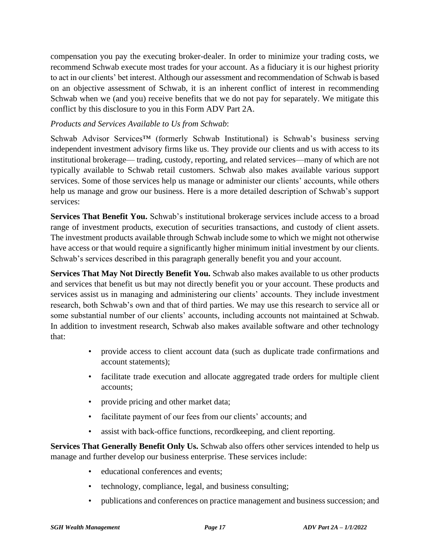compensation you pay the executing broker-dealer. In order to minimize your trading costs, we recommend Schwab execute most trades for your account. As a fiduciary it is our highest priority to act in our clients' bet interest. Although our assessment and recommendation of Schwab is based on an objective assessment of Schwab, it is an inherent conflict of interest in recommending Schwab when we (and you) receive benefits that we do not pay for separately. We mitigate this conflict by this disclosure to you in this Form ADV Part 2A.

#### *Products and Services Available to Us from Schwab*:

Schwab Advisor Services™ (formerly Schwab Institutional) is Schwab's business serving independent investment advisory firms like us. They provide our clients and us with access to its institutional brokerage— trading, custody, reporting, and related services—many of which are not typically available to Schwab retail customers. Schwab also makes available various support services. Some of those services help us manage or administer our clients' accounts, while others help us manage and grow our business. Here is a more detailed description of Schwab's support services:

**Services That Benefit You.** Schwab's institutional brokerage services include access to a broad range of investment products, execution of securities transactions, and custody of client assets. The investment products available through Schwab include some to which we might not otherwise have access or that would require a significantly higher minimum initial investment by our clients. Schwab's services described in this paragraph generally benefit you and your account.

**Services That May Not Directly Benefit You.** Schwab also makes available to us other products and services that benefit us but may not directly benefit you or your account. These products and services assist us in managing and administering our clients' accounts. They include investment research, both Schwab's own and that of third parties. We may use this research to service all or some substantial number of our clients' accounts, including accounts not maintained at Schwab. In addition to investment research, Schwab also makes available software and other technology that:

- provide access to client account data (such as duplicate trade confirmations and account statements);
- facilitate trade execution and allocate aggregated trade orders for multiple client accounts;
- provide pricing and other market data;
- facilitate payment of our fees from our clients' accounts; and
- assist with back-office functions, recordkeeping, and client reporting.

**Services That Generally Benefit Only Us.** Schwab also offers other services intended to help us manage and further develop our business enterprise. These services include:

- educational conferences and events;
- technology, compliance, legal, and business consulting;
- publications and conferences on practice management and business succession; and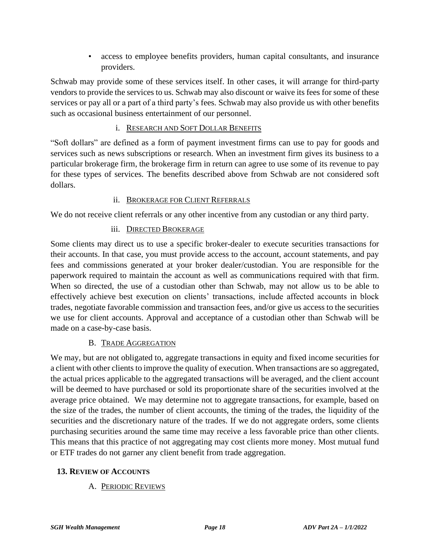• access to employee benefits providers, human capital consultants, and insurance providers.

Schwab may provide some of these services itself. In other cases, it will arrange for third-party vendors to provide the services to us. Schwab may also discount or waive its fees for some of these services or pay all or a part of a third party's fees. Schwab may also provide us with other benefits such as occasional business entertainment of our personnel.

#### i. RESEARCH AND SOFT DOLLAR BENEFITS

"Soft dollars" are defined as a form of payment investment firms can use to pay for goods and services such as news subscriptions or research. When an investment firm gives its business to a particular brokerage firm, the brokerage firm in return can agree to use some of its revenue to pay for these types of services. The benefits described above from Schwab are not considered soft dollars.

#### ii. BROKERAGE FOR CLIENT REFERRALS

We do not receive client referrals or any other incentive from any custodian or any third party.

#### iii. DIRECTED BROKERAGE

Some clients may direct us to use a specific broker-dealer to execute securities transactions for their accounts. In that case, you must provide access to the account, account statements, and pay fees and commissions generated at your broker dealer/custodian. You are responsible for the paperwork required to maintain the account as well as communications required with that firm. When so directed, the use of a custodian other than Schwab, may not allow us to be able to effectively achieve best execution on clients' transactions, include affected accounts in block trades, negotiate favorable commission and transaction fees, and/or give us access to the securities we use for client accounts. Approval and acceptance of a custodian other than Schwab will be made on a case-by-case basis.

#### B. TRADE AGGREGATION

We may, but are not obligated to, aggregate transactions in equity and fixed income securities for a client with other clients to improve the quality of execution. When transactions are so aggregated, the actual prices applicable to the aggregated transactions will be averaged, and the client account will be deemed to have purchased or sold its proportionate share of the securities involved at the average price obtained. We may determine not to aggregate transactions, for example, based on the size of the trades, the number of client accounts, the timing of the trades, the liquidity of the securities and the discretionary nature of the trades. If we do not aggregate orders, some clients purchasing securities around the same time may receive a less favorable price than other clients. This means that this practice of not aggregating may cost clients more money. Most mutual fund or ETF trades do not garner any client benefit from trade aggregation.

#### **13. REVIEW OF ACCOUNTS**

## A. PERIODIC REVIEWS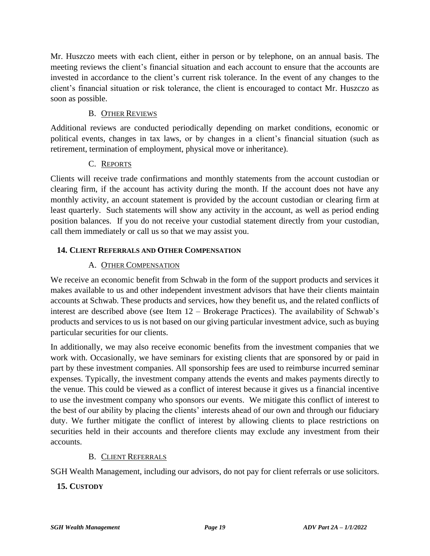Mr. Huszczo meets with each client, either in person or by telephone, on an annual basis. The meeting reviews the client's financial situation and each account to ensure that the accounts are invested in accordance to the client's current risk tolerance. In the event of any changes to the client's financial situation or risk tolerance, the client is encouraged to contact Mr. Huszczo as soon as possible.

#### B. OTHER REVIEWS

Additional reviews are conducted periodically depending on market conditions, economic or political events, changes in tax laws, or by changes in a client's financial situation (such as retirement, termination of employment, physical move or inheritance).

#### C. REPORTS

Clients will receive trade confirmations and monthly statements from the account custodian or clearing firm, if the account has activity during the month. If the account does not have any monthly activity, an account statement is provided by the account custodian or clearing firm at least quarterly. Such statements will show any activity in the account, as well as period ending position balances. If you do not receive your custodial statement directly from your custodian, call them immediately or call us so that we may assist you.

## **14. CLIENT REFERRALS AND OTHER COMPENSATION**

#### A. OTHER COMPENSATION

We receive an economic benefit from Schwab in the form of the support products and services it makes available to us and other independent investment advisors that have their clients maintain accounts at Schwab. These products and services, how they benefit us, and the related conflicts of interest are described above (see Item 12 – Brokerage Practices). The availability of Schwab's products and services to us is not based on our giving particular investment advice, such as buying particular securities for our clients.

In additionally, we may also receive economic benefits from the investment companies that we work with. Occasionally, we have seminars for existing clients that are sponsored by or paid in part by these investment companies. All sponsorship fees are used to reimburse incurred seminar expenses. Typically, the investment company attends the events and makes payments directly to the venue. This could be viewed as a conflict of interest because it gives us a financial incentive to use the investment company who sponsors our events. We mitigate this conflict of interest to the best of our ability by placing the clients' interests ahead of our own and through our fiduciary duty. We further mitigate the conflict of interest by allowing clients to place restrictions on securities held in their accounts and therefore clients may exclude any investment from their accounts.

#### B. CLIENT REFERRALS

SGH Wealth Management, including our advisors, do not pay for client referrals or use solicitors.

## **15. CUSTODY**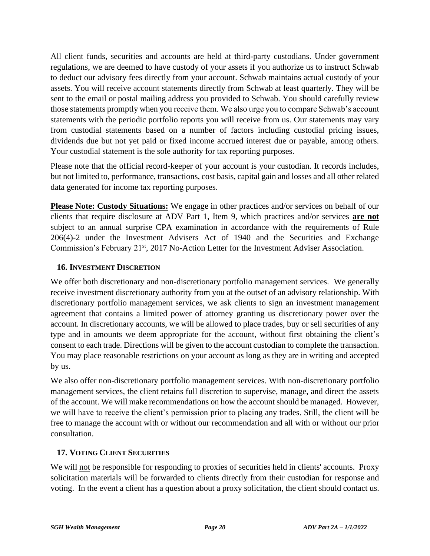All client funds, securities and accounts are held at third-party custodians. Under government regulations, we are deemed to have custody of your assets if you authorize us to instruct Schwab to deduct our advisory fees directly from your account. Schwab maintains actual custody of your assets. You will receive account statements directly from Schwab at least quarterly. They will be sent to the email or postal mailing address you provided to Schwab. You should carefully review those statements promptly when you receive them. We also urge you to compare Schwab's account statements with the periodic portfolio reports you will receive from us. Our statements may vary from custodial statements based on a number of factors including custodial pricing issues, dividends due but not yet paid or fixed income accrued interest due or payable, among others. Your custodial statement is the sole authority for tax reporting purposes.

Please note that the official record-keeper of your account is your custodian. It records includes, but not limited to, performance, transactions, cost basis, capital gain and losses and all other related data generated for income tax reporting purposes.

**Please Note: Custody Situations:** We engage in other practices and/or services on behalf of our clients that require disclosure at ADV Part 1, Item 9, which practices and/or services **are not** subject to an annual surprise CPA examination in accordance with the requirements of Rule 206(4)-2 under the Investment Advisers Act of 1940 and the Securities and Exchange Commission's February 21<sup>st</sup>, 2017 No-Action Letter for the Investment Adviser Association.

#### **16. INVESTMENT DISCRETION**

We offer both discretionary and non-discretionary portfolio management services. We generally receive investment discretionary authority from you at the outset of an advisory relationship. With discretionary portfolio management services, we ask clients to sign an investment management agreement that contains a limited power of attorney granting us discretionary power over the account. In discretionary accounts, we will be allowed to place trades, buy or sell securities of any type and in amounts we deem appropriate for the account, without first obtaining the client's consent to each trade. Directions will be given to the account custodian to complete the transaction. You may place reasonable restrictions on your account as long as they are in writing and accepted by us.

We also offer non-discretionary portfolio management services. With non-discretionary portfolio management services, the client retains full discretion to supervise, manage, and direct the assets of the account. We will make recommendations on how the account should be managed. However, we will have to receive the client's permission prior to placing any trades. Still, the client will be free to manage the account with or without our recommendation and all with or without our prior consultation.

## **17. VOTING CLIENT SECURITIES**

We will not be responsible for responding to proxies of securities held in clients' accounts. Proxy solicitation materials will be forwarded to clients directly from their custodian for response and voting. In the event a client has a question about a proxy solicitation, the client should contact us.